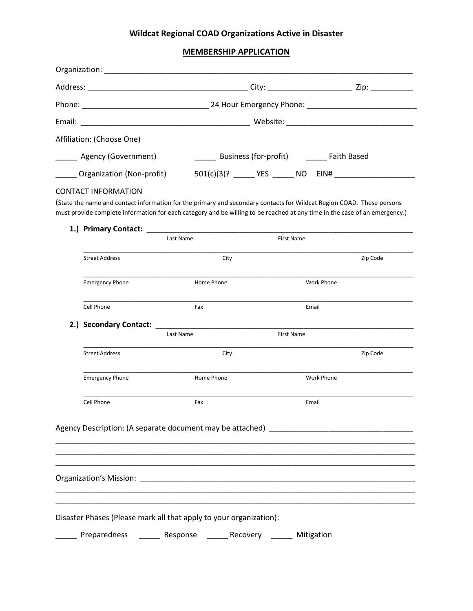# **Wildcat Regional COAD Organizations Active in Disaster**

## **MEMBERSHIP APPLICATION**

|                          | Affiliation: (Choose One)                                                                                                                                                                                                                                                         |      |                                                              |                   |                   |                   |          |  |
|--------------------------|-----------------------------------------------------------------------------------------------------------------------------------------------------------------------------------------------------------------------------------------------------------------------------------|------|--------------------------------------------------------------|-------------------|-------------------|-------------------|----------|--|
| ____ Agency (Government) |                                                                                                                                                                                                                                                                                   |      | _______ Business (for-profit) ________ Faith Based           |                   |                   |                   |          |  |
|                          | Organization (Non-profit)                                                                                                                                                                                                                                                         |      | 501(c)(3)? _______ YES _______ NO EIN# _____________________ |                   |                   |                   |          |  |
|                          | <b>CONTACT INFORMATION</b><br>(State the name and contact information for the primary and secondary contacts for Wildcat Region COAD. These persons<br>must provide complete information for each category and be willing to be reached at any time in the case of an emergency.) |      |                                                              |                   |                   |                   |          |  |
|                          | 1.) Primary Contact: New York 2014<br>Last Name                                                                                                                                                                                                                                   |      |                                                              |                   | <b>First Name</b> |                   |          |  |
|                          | <b>Street Address</b>                                                                                                                                                                                                                                                             |      | City                                                         |                   |                   |                   | Zip Code |  |
|                          | <b>Emergency Phone</b>                                                                                                                                                                                                                                                            |      | Home Phone                                                   |                   |                   | <b>Work Phone</b> |          |  |
|                          | Cell Phone<br>Fax                                                                                                                                                                                                                                                                 |      |                                                              |                   |                   | Email             |          |  |
|                          | 2.) Secondary Contact:<br>Last Name                                                                                                                                                                                                                                               |      |                                                              | <b>First Name</b> |                   |                   |          |  |
|                          | <b>Street Address</b>                                                                                                                                                                                                                                                             | City |                                                              |                   |                   |                   | Zip Code |  |
|                          | <b>Emergency Phone</b>                                                                                                                                                                                                                                                            |      | Home Phone                                                   |                   | <b>Work Phone</b> |                   |          |  |
|                          | Cell Phone<br>Fax                                                                                                                                                                                                                                                                 |      |                                                              |                   | Email             |                   |          |  |
|                          | Agency Description: (A separate document may be attached) _______________________                                                                                                                                                                                                 |      |                                                              |                   |                   |                   |          |  |
|                          |                                                                                                                                                                                                                                                                                   |      |                                                              |                   |                   |                   |          |  |
|                          | Disaster Phases (Please mark all that apply to your organization):                                                                                                                                                                                                                |      |                                                              |                   |                   |                   |          |  |
|                          | Preparedness ______ Response ______ Recovery ______ Mitigation                                                                                                                                                                                                                    |      |                                                              |                   |                   |                   |          |  |